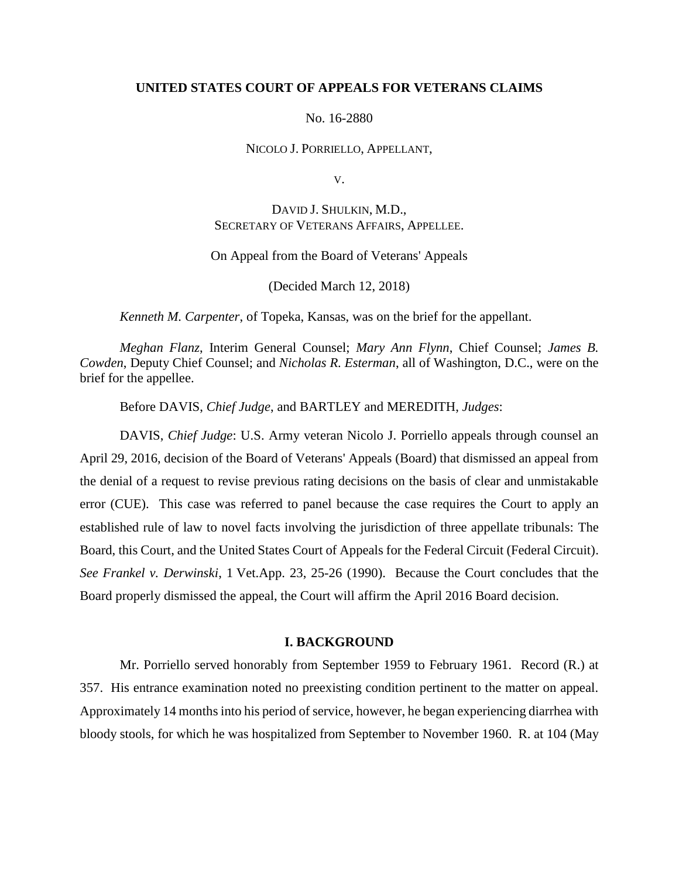### **UNITED STATES COURT OF APPEALS FOR VETERANS CLAIMS**

No. 16-2880

NICOLO J. PORRIELLO, APPELLANT,

V.

DAVID J. SHULKIN, M.D., SECRETARY OF VETERANS AFFAIRS, APPELLEE.

On Appeal from the Board of Veterans' Appeals

(Decided March 12, 2018)

*Kenneth M. Carpenter*, of Topeka, Kansas, was on the brief for the appellant.

*Meghan Flanz*, Interim General Counsel; *Mary Ann Flynn*, Chief Counsel; *James B. Cowden*, Deputy Chief Counsel; and *Nicholas R. Esterman*, all of Washington, D.C., were on the brief for the appellee.

Before DAVIS, *Chief Judge*, and BARTLEY and MEREDITH, *Judges*:

DAVIS, *Chief Judge*: U.S. Army veteran Nicolo J. Porriello appeals through counsel an April 29, 2016, decision of the Board of Veterans' Appeals (Board) that dismissed an appeal from the denial of a request to revise previous rating decisions on the basis of clear and unmistakable error (CUE). This case was referred to panel because the case requires the Court to apply an established rule of law to novel facts involving the jurisdiction of three appellate tribunals: The Board, this Court, and the United States Court of Appeals for the Federal Circuit (Federal Circuit). *See Frankel v. Derwinski*, 1 Vet.App. 23, 25-26 (1990). Because the Court concludes that the Board properly dismissed the appeal, the Court will affirm the April 2016 Board decision.

## **I. BACKGROUND**

Mr. Porriello served honorably from September 1959 to February 1961. Record (R.) at 357. His entrance examination noted no preexisting condition pertinent to the matter on appeal. Approximately 14 months into his period of service, however, he began experiencing diarrhea with bloody stools, for which he was hospitalized from September to November 1960. R. at 104 (May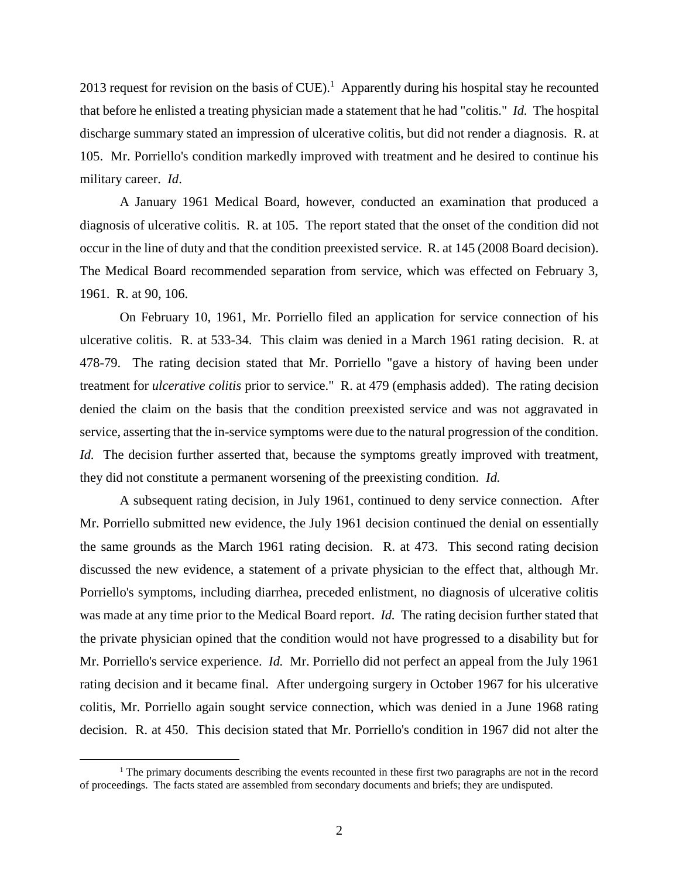2013 request for revision on the basis of  $CUE$ ).<sup>1</sup> Apparently during his hospital stay he recounted that before he enlisted a treating physician made a statement that he had "colitis." *Id.* The hospital discharge summary stated an impression of ulcerative colitis, but did not render a diagnosis. R. at 105. Mr. Porriello's condition markedly improved with treatment and he desired to continue his military career. *Id*.

A January 1961 Medical Board, however, conducted an examination that produced a diagnosis of ulcerative colitis. R. at 105. The report stated that the onset of the condition did not occur in the line of duty and that the condition preexisted service. R. at 145 (2008 Board decision). The Medical Board recommended separation from service, which was effected on February 3, 1961. R. at 90, 106.

On February 10, 1961, Mr. Porriello filed an application for service connection of his ulcerative colitis. R. at 533-34. This claim was denied in a March 1961 rating decision. R. at 478-79. The rating decision stated that Mr. Porriello "gave a history of having been under treatment for *ulcerative colitis* prior to service." R. at 479 (emphasis added). The rating decision denied the claim on the basis that the condition preexisted service and was not aggravated in service, asserting that the in-service symptoms were due to the natural progression of the condition. *Id.* The decision further asserted that, because the symptoms greatly improved with treatment, they did not constitute a permanent worsening of the preexisting condition. *Id.* 

A subsequent rating decision, in July 1961, continued to deny service connection. After Mr. Porriello submitted new evidence, the July 1961 decision continued the denial on essentially the same grounds as the March 1961 rating decision. R. at 473. This second rating decision discussed the new evidence, a statement of a private physician to the effect that, although Mr. Porriello's symptoms, including diarrhea, preceded enlistment, no diagnosis of ulcerative colitis was made at any time prior to the Medical Board report. *Id.* The rating decision further stated that the private physician opined that the condition would not have progressed to a disability but for Mr. Porriello's service experience. *Id.* Mr. Porriello did not perfect an appeal from the July 1961 rating decision and it became final. After undergoing surgery in October 1967 for his ulcerative colitis, Mr. Porriello again sought service connection, which was denied in a June 1968 rating decision. R. at 450. This decision stated that Mr. Porriello's condition in 1967 did not alter the

 $1$ . The primary documents describing the events recounted in these first two paragraphs are not in the record of proceedings. The facts stated are assembled from secondary documents and briefs; they are undisputed.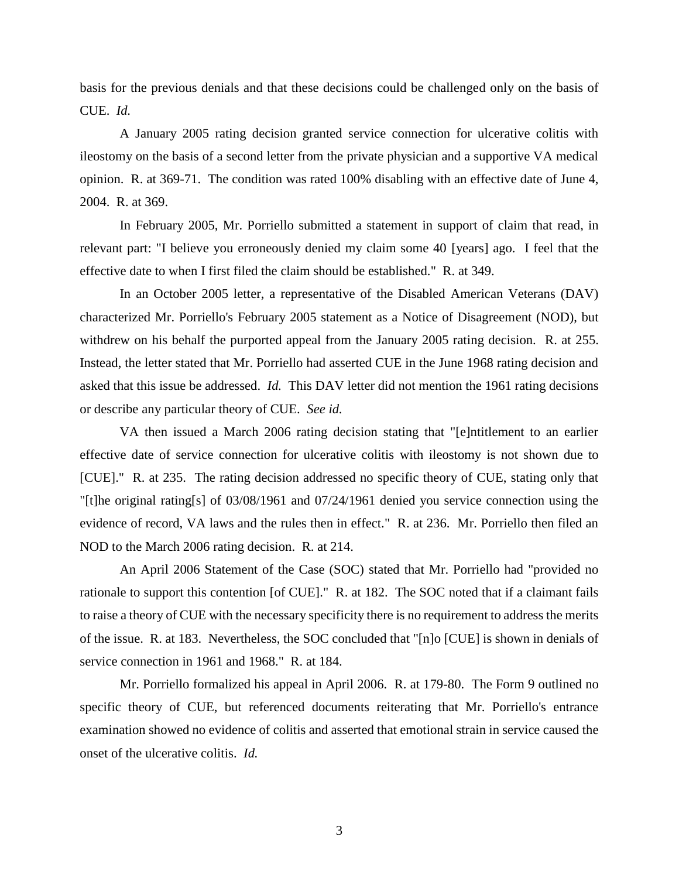basis for the previous denials and that these decisions could be challenged only on the basis of CUE. *Id.*

A January 2005 rating decision granted service connection for ulcerative colitis with ileostomy on the basis of a second letter from the private physician and a supportive VA medical opinion. R. at 369-71. The condition was rated 100% disabling with an effective date of June 4, 2004. R. at 369.

In February 2005, Mr. Porriello submitted a statement in support of claim that read, in relevant part: "I believe you erroneously denied my claim some 40 [years] ago. I feel that the effective date to when I first filed the claim should be established." R. at 349.

In an October 2005 letter, a representative of the Disabled American Veterans (DAV) characterized Mr. Porriello's February 2005 statement as a Notice of Disagreement (NOD), but withdrew on his behalf the purported appeal from the January 2005 rating decision. R. at 255. Instead, the letter stated that Mr. Porriello had asserted CUE in the June 1968 rating decision and asked that this issue be addressed. *Id.* This DAV letter did not mention the 1961 rating decisions or describe any particular theory of CUE. *See id.*

VA then issued a March 2006 rating decision stating that "[e]ntitlement to an earlier effective date of service connection for ulcerative colitis with ileostomy is not shown due to [CUE]." R. at 235. The rating decision addressed no specific theory of CUE, stating only that "[t]he original rating[s] of 03/08/1961 and 07/24/1961 denied you service connection using the evidence of record, VA laws and the rules then in effect." R. at 236. Mr. Porriello then filed an NOD to the March 2006 rating decision. R. at 214.

An April 2006 Statement of the Case (SOC) stated that Mr. Porriello had "provided no rationale to support this contention [of CUE]." R. at 182. The SOC noted that if a claimant fails to raise a theory of CUE with the necessary specificity there is no requirement to address the merits of the issue. R. at 183. Nevertheless, the SOC concluded that "[n]o [CUE] is shown in denials of service connection in 1961 and 1968." R. at 184.

Mr. Porriello formalized his appeal in April 2006. R. at 179-80. The Form 9 outlined no specific theory of CUE, but referenced documents reiterating that Mr. Porriello's entrance examination showed no evidence of colitis and asserted that emotional strain in service caused the onset of the ulcerative colitis. *Id.*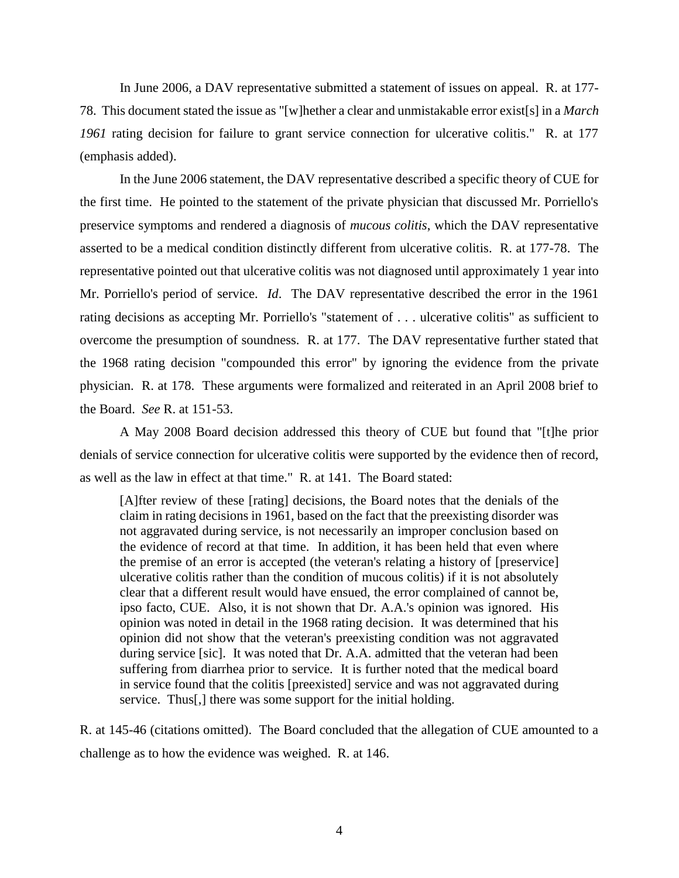In June 2006, a DAV representative submitted a statement of issues on appeal. R. at 177- 78. This document stated the issue as "[w]hether a clear and unmistakable error exist[s] in a *March 1961* rating decision for failure to grant service connection for ulcerative colitis." R. at 177 (emphasis added).

In the June 2006 statement, the DAV representative described a specific theory of CUE for the first time. He pointed to the statement of the private physician that discussed Mr. Porriello's preservice symptoms and rendered a diagnosis of *mucous colitis*, which the DAV representative asserted to be a medical condition distinctly different from ulcerative colitis. R. at 177-78. The representative pointed out that ulcerative colitis was not diagnosed until approximately 1 year into Mr. Porriello's period of service. *Id*. The DAV representative described the error in the 1961 rating decisions as accepting Mr. Porriello's "statement of . . . ulcerative colitis" as sufficient to overcome the presumption of soundness. R. at 177. The DAV representative further stated that the 1968 rating decision "compounded this error" by ignoring the evidence from the private physician. R. at 178. These arguments were formalized and reiterated in an April 2008 brief to the Board. *See* R. at 151-53.

A May 2008 Board decision addressed this theory of CUE but found that "[t]he prior denials of service connection for ulcerative colitis were supported by the evidence then of record, as well as the law in effect at that time." R. at 141. The Board stated:

[A]fter review of these [rating] decisions, the Board notes that the denials of the claim in rating decisions in 1961, based on the fact that the preexisting disorder was not aggravated during service, is not necessarily an improper conclusion based on the evidence of record at that time. In addition, it has been held that even where the premise of an error is accepted (the veteran's relating a history of [preservice] ulcerative colitis rather than the condition of mucous colitis) if it is not absolutely clear that a different result would have ensued, the error complained of cannot be, ipso facto, CUE. Also, it is not shown that Dr. A.A.'s opinion was ignored. His opinion was noted in detail in the 1968 rating decision. It was determined that his opinion did not show that the veteran's preexisting condition was not aggravated during service [sic]. It was noted that Dr. A.A. admitted that the veteran had been suffering from diarrhea prior to service. It is further noted that the medical board in service found that the colitis [preexisted] service and was not aggravated during service. Thus[,] there was some support for the initial holding.

R. at 145-46 (citations omitted). The Board concluded that the allegation of CUE amounted to a challenge as to how the evidence was weighed. R. at 146.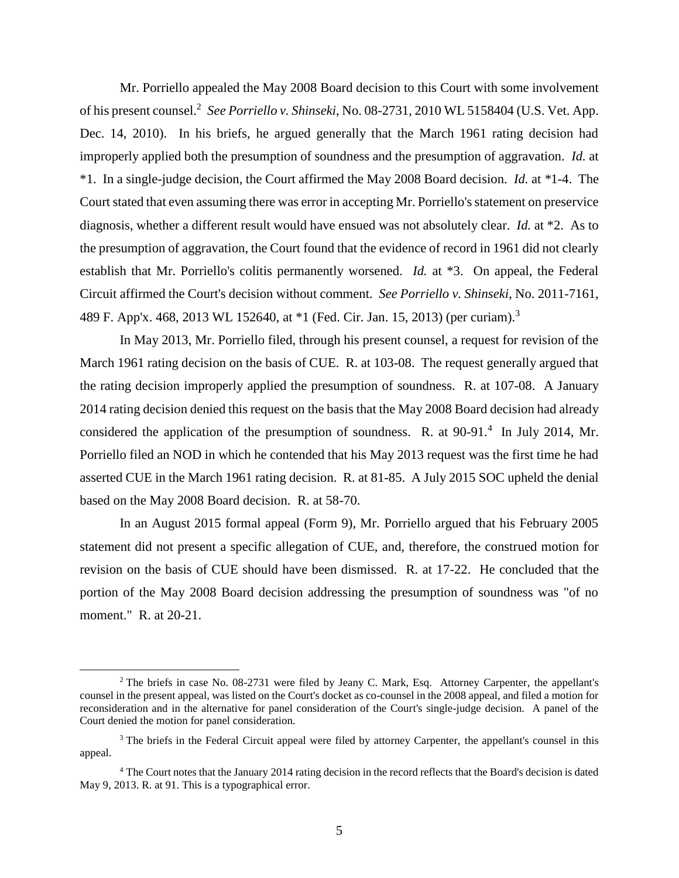Mr. Porriello appealed the May 2008 Board decision to this Court with some involvement of his present counsel.<sup>2</sup> See Porriello v. Shinseki, No. 08-2731, 2010 WL 5158404 (U.S. Vet. App. Dec. 14, 2010). In his briefs, he argued generally that the March 1961 rating decision had improperly applied both the presumption of soundness and the presumption of aggravation. *Id.* at \*1. In a single-judge decision, the Court affirmed the May 2008 Board decision. *Id.* at *\**1-4. The Court stated that even assuming there was error in accepting Mr. Porriello's statement on preservice diagnosis, whether a different result would have ensued was not absolutely clear. *Id.* at \*2. As to the presumption of aggravation, the Court found that the evidence of record in 1961 did not clearly establish that Mr. Porriello's colitis permanently worsened. *Id.* at \*3. On appeal, the Federal Circuit affirmed the Court's decision without comment. *See Porriello v. Shinseki*, No. 2011-7161, 489 F. App'x. 468, 2013 WL 152640, at \*1 (Fed. Cir. Jan. 15, 2013) (per curiam).<sup>3</sup>

In May 2013, Mr. Porriello filed, through his present counsel, a request for revision of the March 1961 rating decision on the basis of CUE. R. at 103-08. The request generally argued that the rating decision improperly applied the presumption of soundness. R. at 107-08. A January 2014 rating decision denied this request on the basis that the May 2008 Board decision had already considered the application of the presumption of soundness. R. at  $90-91$ .<sup>4</sup> In July 2014, Mr. Porriello filed an NOD in which he contended that his May 2013 request was the first time he had asserted CUE in the March 1961 rating decision. R. at 81-85. A July 2015 SOC upheld the denial based on the May 2008 Board decision. R. at 58-70.

In an August 2015 formal appeal (Form 9), Mr. Porriello argued that his February 2005 statement did not present a specific allegation of CUE, and, therefore, the construed motion for revision on the basis of CUE should have been dismissed. R. at 17-22. He concluded that the portion of the May 2008 Board decision addressing the presumption of soundness was "of no moment." R. at 20-21.

<sup>&</sup>lt;sup>2</sup> The briefs in case No. 08-2731 were filed by Jeany C. Mark, Esq. Attorney Carpenter, the appellant's counsel in the present appeal, was listed on the Court's docket as co-counsel in the 2008 appeal, and filed a motion for reconsideration and in the alternative for panel consideration of the Court's single-judge decision. A panel of the Court denied the motion for panel consideration.

<sup>&</sup>lt;sup>3</sup> The briefs in the Federal Circuit appeal were filed by attorney Carpenter, the appellant's counsel in this appeal.

<sup>4</sup> The Court notes that the January 2014 rating decision in the record reflects that the Board's decision is dated May 9, 2013. R. at 91. This is a typographical error.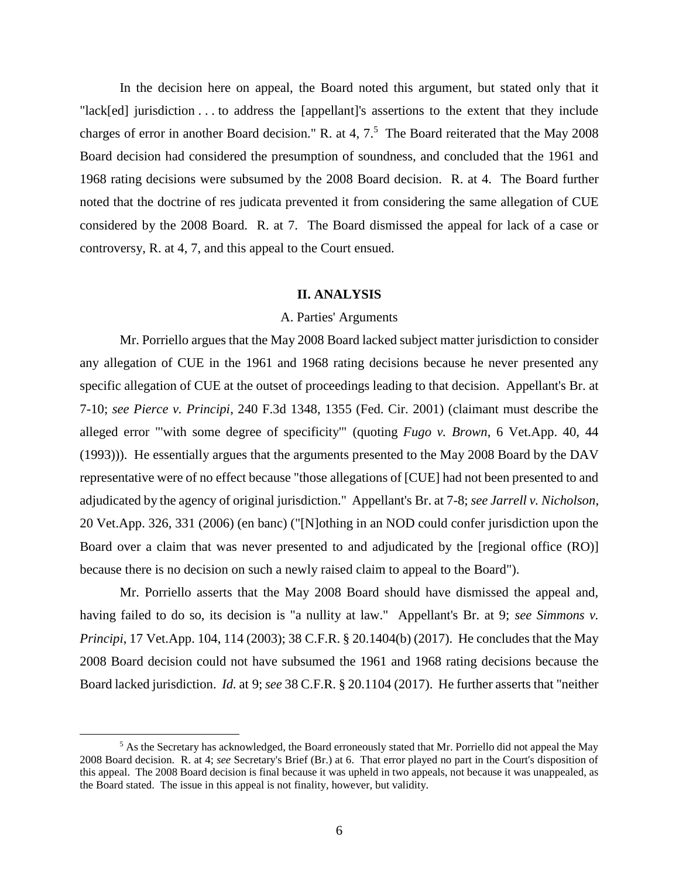In the decision here on appeal, the Board noted this argument, but stated only that it "lack[ed] jurisdiction . . . to address the [appellant]'s assertions to the extent that they include charges of error in another Board decision." R. at 4,  $7<sup>5</sup>$  The Board reiterated that the May 2008 Board decision had considered the presumption of soundness, and concluded that the 1961 and 1968 rating decisions were subsumed by the 2008 Board decision. R. at 4. The Board further noted that the doctrine of res judicata prevented it from considering the same allegation of CUE considered by the 2008 Board. R. at 7. The Board dismissed the appeal for lack of a case or controversy, R. at 4, 7, and this appeal to the Court ensued.

### **II. ANALYSIS**

#### A. Parties' Arguments

Mr. Porriello argues that the May 2008 Board lacked subject matter jurisdiction to consider any allegation of CUE in the 1961 and 1968 rating decisions because he never presented any specific allegation of CUE at the outset of proceedings leading to that decision. Appellant's Br. at 7-10; *see Pierce v. Principi*, 240 F.3d 1348, 1355 (Fed. Cir. 2001) (claimant must describe the alleged error "'with some degree of specificity'" (quoting *Fugo v. Brown*, 6 Vet.App. 40, 44 (1993))).He essentially argues that the arguments presented to the May 2008 Board by the DAV representative were of no effect because "those allegations of [CUE] had not been presented to and adjudicated by the agency of original jurisdiction." Appellant's Br. at 7-8; *see Jarrell v. Nicholson*, 20 Vet.App. 326, 331 (2006) (en banc) ("[N]othing in an NOD could confer jurisdiction upon the Board over a claim that was never presented to and adjudicated by the [regional office (RO)] because there is no decision on such a newly raised claim to appeal to the Board").

Mr. Porriello asserts that the May 2008 Board should have dismissed the appeal and, having failed to do so, its decision is "a nullity at law." Appellant's Br. at 9; *see Simmons v. Principi*, 17 Vet.App. 104, 114 (2003); 38 C.F.R. § 20.1404(b) (2017). He concludes that the May 2008 Board decision could not have subsumed the 1961 and 1968 rating decisions because the Board lacked jurisdiction. *Id.* at 9; *see* 38 C.F.R. § 20.1104 (2017). He further asserts that "neither

<sup>&</sup>lt;sup>5</sup> As the Secretary has acknowledged, the Board erroneously stated that Mr. Porriello did not appeal the May 2008 Board decision. R. at 4; *see* Secretary's Brief (Br.) at 6. That error played no part in the Court's disposition of this appeal. The 2008 Board decision is final because it was upheld in two appeals, not because it was unappealed, as the Board stated. The issue in this appeal is not finality, however, but validity.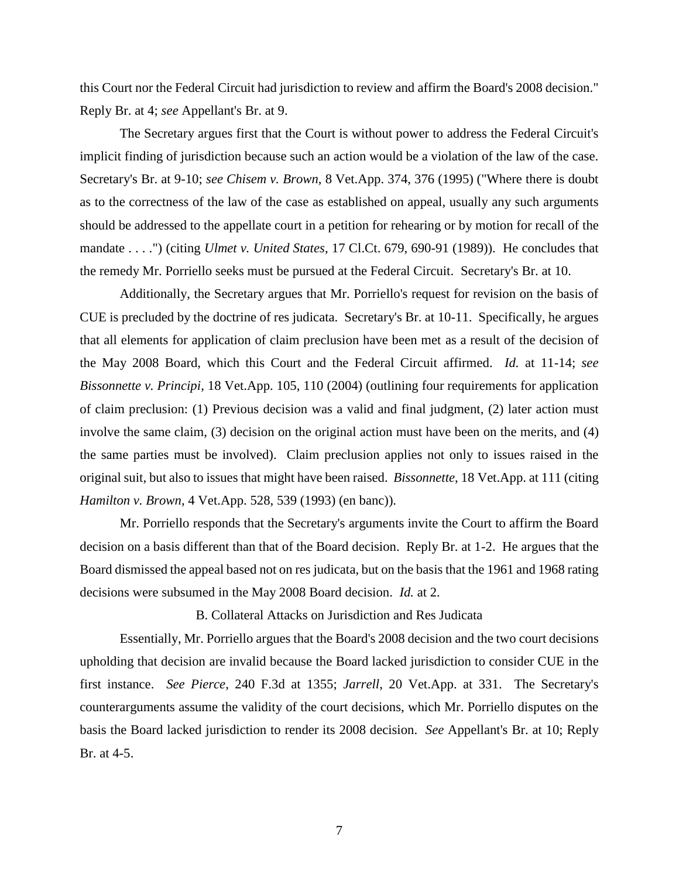this Court nor the Federal Circuit had jurisdiction to review and affirm the Board's 2008 decision." Reply Br. at 4; *see* Appellant's Br. at 9.

The Secretary argues first that the Court is without power to address the Federal Circuit's implicit finding of jurisdiction because such an action would be a violation of the law of the case. Secretary's Br. at 9-10; *see Chisem v. Brown*, 8 Vet.App. 374, 376 (1995) ("Where there is doubt as to the correctness of the law of the case as established on appeal, usually any such arguments should be addressed to the appellate court in a petition for rehearing or by motion for recall of the mandate . . . .") (citing *Ulmet v. United States*, 17 Cl.Ct. 679, 690-91 (1989)). He concludes that the remedy Mr. Porriello seeks must be pursued at the Federal Circuit. Secretary's Br. at 10.

Additionally, the Secretary argues that Mr. Porriello's request for revision on the basis of CUE is precluded by the doctrine of res judicata. Secretary's Br. at 10-11. Specifically, he argues that all elements for application of claim preclusion have been met as a result of the decision of the May 2008 Board, which this Court and the Federal Circuit affirmed. *Id.* at 11-14; *see Bissonnette v. Principi*, 18 Vet.App. 105, 110 (2004) (outlining four requirements for application of claim preclusion: (1) Previous decision was a valid and final judgment, (2) later action must involve the same claim, (3) decision on the original action must have been on the merits, and (4) the same parties must be involved). Claim preclusion applies not only to issues raised in the original suit, but also to issues that might have been raised. *Bissonnette*, 18 Vet.App. at 111 (citing *Hamilton v. Brown*, 4 Vet.App. 528, 539 (1993) (en banc)).

Mr. Porriello responds that the Secretary's arguments invite the Court to affirm the Board decision on a basis different than that of the Board decision. Reply Br. at 1-2. He argues that the Board dismissed the appeal based not on res judicata, but on the basis that the 1961 and 1968 rating decisions were subsumed in the May 2008 Board decision. *Id.* at 2.

B. Collateral Attacks on Jurisdiction and Res Judicata

Essentially, Mr. Porriello argues that the Board's 2008 decision and the two court decisions upholding that decision are invalid because the Board lacked jurisdiction to consider CUE in the first instance. *See Pierce*, 240 F.3d at 1355; *Jarrell*, 20 Vet.App. at 331. The Secretary's counterarguments assume the validity of the court decisions, which Mr. Porriello disputes on the basis the Board lacked jurisdiction to render its 2008 decision. *See* Appellant's Br. at 10; Reply Br. at 4-5.

7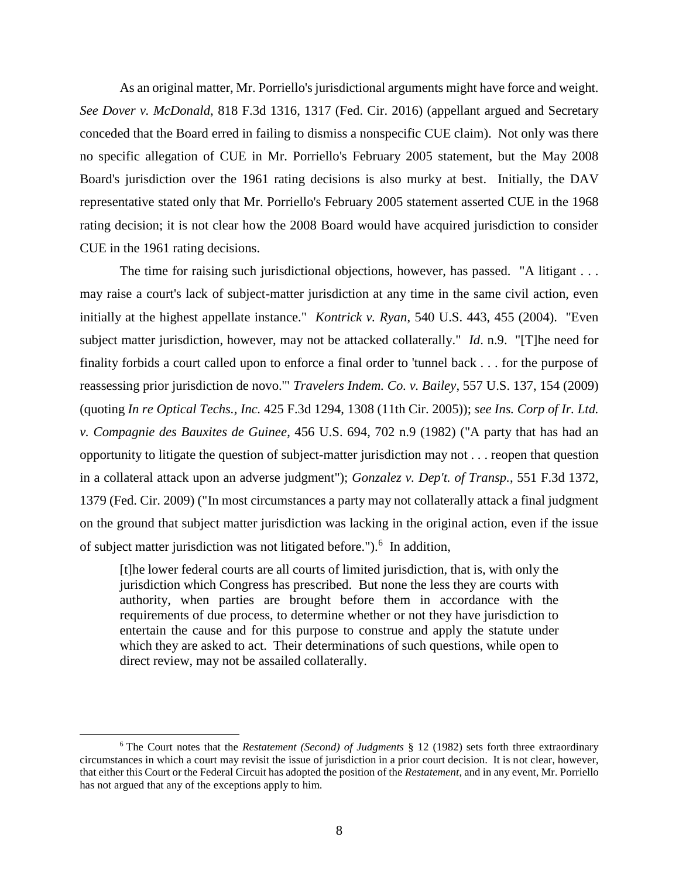As an original matter, Mr. Porriello's jurisdictional arguments might have force and weight. *See Dover v. McDonald*, 818 F.3d 1316, 1317 (Fed. Cir. 2016) (appellant argued and Secretary conceded that the Board erred in failing to dismiss a nonspecific CUE claim). Not only was there no specific allegation of CUE in Mr. Porriello's February 2005 statement, but the May 2008 Board's jurisdiction over the 1961 rating decisions is also murky at best. Initially, the DAV representative stated only that Mr. Porriello's February 2005 statement asserted CUE in the 1968 rating decision; it is not clear how the 2008 Board would have acquired jurisdiction to consider CUE in the 1961 rating decisions.

The time for raising such jurisdictional objections, however, has passed. "A litigant . . . may raise a court's lack of subject-matter jurisdiction at any time in the same civil action, even initially at the highest appellate instance." *Kontrick v. Ryan*, 540 U.S. 443, 455 (2004). "Even subject matter jurisdiction, however, may not be attacked collaterally." *Id*. n.9. "[T]he need for finality forbids a court called upon to enforce a final order to 'tunnel back . . . for the purpose of reassessing prior jurisdiction de novo.'" *Travelers Indem. Co. v. Bailey*, 557 U.S. 137, 154 (2009) (quoting *In re Optical Techs., Inc.* 425 F.3d 1294, 1308 (11th Cir. 2005)); *see Ins. Corp of Ir. Ltd. v. Compagnie des Bauxites de Guinee*, 456 U.S. 694, 702 n.9 (1982) ("A party that has had an opportunity to litigate the question of subject-matter jurisdiction may not . . . reopen that question in a collateral attack upon an adverse judgment"); *Gonzalez v. Dep't. of Transp.*, 551 F.3d 1372, 1379 (Fed. Cir. 2009) ("In most circumstances a party may not collaterally attack a final judgment on the ground that subject matter jurisdiction was lacking in the original action, even if the issue of subject matter jurisdiction was not litigated before.").<sup>6</sup> In addition,

[t]he lower federal courts are all courts of limited jurisdiction, that is, with only the jurisdiction which Congress has prescribed. But none the less they are courts with authority, when parties are brought before them in accordance with the requirements of due process, to determine whether or not they have jurisdiction to entertain the cause and for this purpose to construe and apply the statute under which they are asked to act. Their determinations of such questions, while open to direct review, may not be assailed collaterally.

<sup>6</sup> The Court notes that the *Restatement (Second) of Judgments* § 12 (1982) sets forth three extraordinary circumstances in which a court may revisit the issue of jurisdiction in a prior court decision. It is not clear, however, that either this Court or the Federal Circuit has adopted the position of the *Restatement*, and in any event, Mr. Porriello has not argued that any of the exceptions apply to him.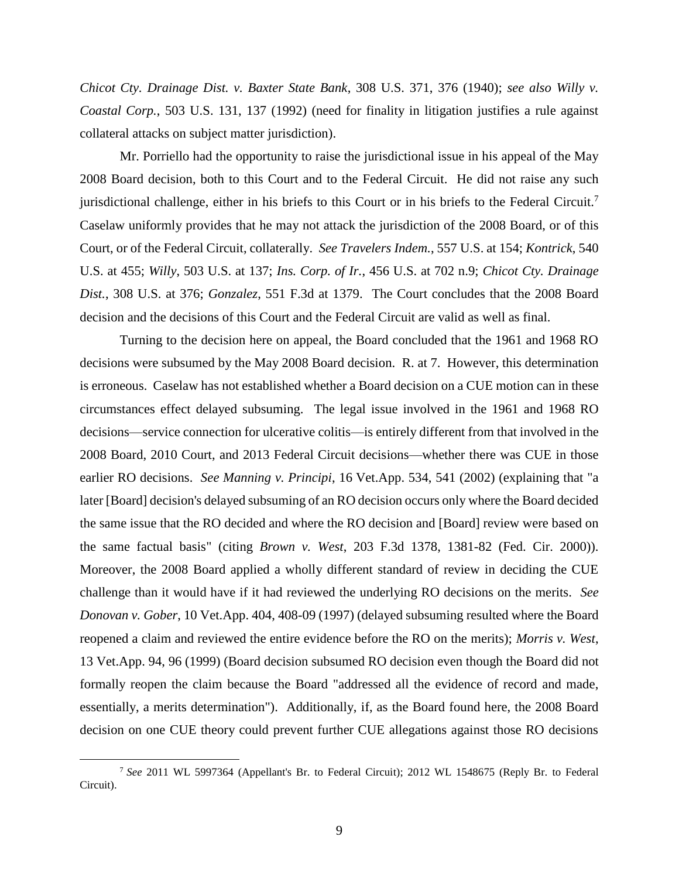*Chicot Cty. Drainage Dist. v. Baxter State Bank*, 308 U.S. 371, 376 (1940); *see also Willy v. Coastal Corp.*, 503 U.S. 131, 137 (1992) (need for finality in litigation justifies a rule against collateral attacks on subject matter jurisdiction).

Mr. Porriello had the opportunity to raise the jurisdictional issue in his appeal of the May 2008 Board decision, both to this Court and to the Federal Circuit. He did not raise any such jurisdictional challenge, either in his briefs to this Court or in his briefs to the Federal Circuit.<sup>7</sup> Caselaw uniformly provides that he may not attack the jurisdiction of the 2008 Board, or of this Court, or of the Federal Circuit, collaterally. *See Travelers Indem.*, 557 U.S. at 154; *Kontrick*, 540 U.S. at 455; *Willy*, 503 U.S. at 137; *Ins. Corp. of Ir.*, 456 U.S. at 702 n.9; *Chicot Cty. Drainage Dist.*, 308 U.S. at 376; *Gonzalez*, 551 F.3d at 1379. The Court concludes that the 2008 Board decision and the decisions of this Court and the Federal Circuit are valid as well as final.

Turning to the decision here on appeal, the Board concluded that the 1961 and 1968 RO decisions were subsumed by the May 2008 Board decision. R. at 7. However, this determination is erroneous. Caselaw has not established whether a Board decision on a CUE motion can in these circumstances effect delayed subsuming. The legal issue involved in the 1961 and 1968 RO decisions—service connection for ulcerative colitis—is entirely different from that involved in the 2008 Board, 2010 Court, and 2013 Federal Circuit decisions—whether there was CUE in those earlier RO decisions. *See Manning v. Principi*, 16 Vet.App. 534, 541 (2002) (explaining that "a later [Board] decision's delayed subsuming of an RO decision occurs only where the Board decided the same issue that the RO decided and where the RO decision and [Board] review were based on the same factual basis" (citing *Brown v. West*, 203 F.3d 1378, 1381-82 (Fed. Cir. 2000)). Moreover, the 2008 Board applied a wholly different standard of review in deciding the CUE challenge than it would have if it had reviewed the underlying RO decisions on the merits. *See Donovan v. Gober*, 10 Vet.App. 404, 408-09 (1997) (delayed subsuming resulted where the Board reopened a claim and reviewed the entire evidence before the RO on the merits); *Morris v. West*, 13 Vet.App. 94, 96 (1999) (Board decision subsumed RO decision even though the Board did not formally reopen the claim because the Board "addressed all the evidence of record and made, essentially, a merits determination"). Additionally, if, as the Board found here, the 2008 Board decision on one CUE theory could prevent further CUE allegations against those RO decisions

<sup>7</sup> *See* 2011 WL 5997364 (Appellant's Br. to Federal Circuit); 2012 WL 1548675 (Reply Br. to Federal Circuit).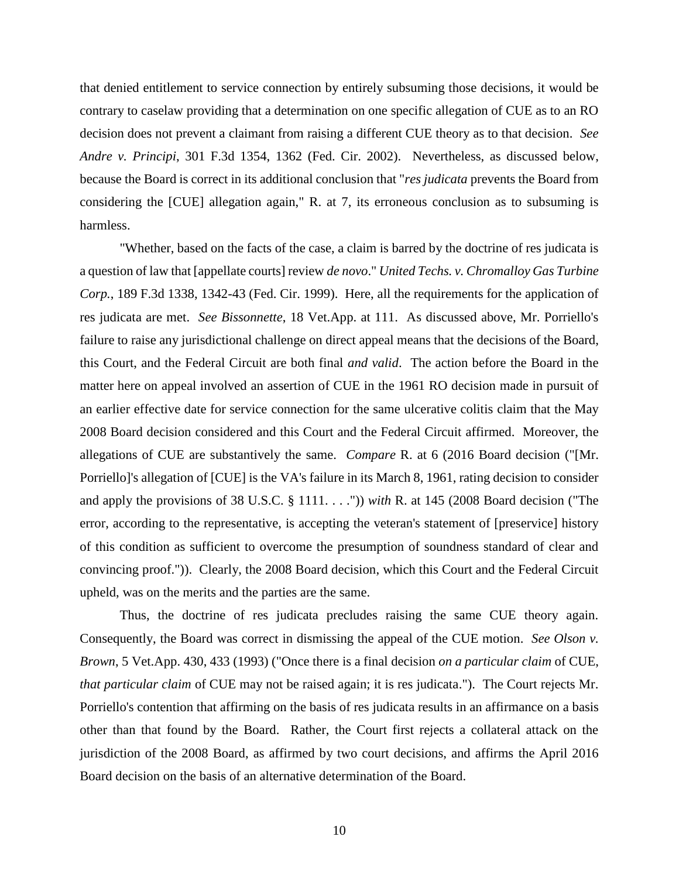that denied entitlement to service connection by entirely subsuming those decisions, it would be contrary to caselaw providing that a determination on one specific allegation of CUE as to an RO decision does not prevent a claimant from raising a different CUE theory as to that decision. *See Andre v. Principi*, 301 F.3d 1354, 1362 (Fed. Cir. 2002). Nevertheless, as discussed below, because the Board is correct in its additional conclusion that "*res judicata* prevents the Board from considering the [CUE] allegation again," R. at 7, its erroneous conclusion as to subsuming is harmless.

"Whether, based on the facts of the case, a claim is barred by the doctrine of res judicata is a question of law that [appellate courts] review *de novo*." *United Techs. v. Chromalloy Gas Turbine Corp.*, 189 F.3d 1338, 1342-43 (Fed. Cir. 1999). Here, all the requirements for the application of res judicata are met. *See Bissonnette*, 18 Vet.App. at 111. As discussed above, Mr. Porriello's failure to raise any jurisdictional challenge on direct appeal means that the decisions of the Board, this Court, and the Federal Circuit are both final *and valid*. The action before the Board in the matter here on appeal involved an assertion of CUE in the 1961 RO decision made in pursuit of an earlier effective date for service connection for the same ulcerative colitis claim that the May 2008 Board decision considered and this Court and the Federal Circuit affirmed. Moreover, the allegations of CUE are substantively the same. *Compare* R. at 6 (2016 Board decision ("[Mr. Porriello]'s allegation of [CUE] is the VA's failure in its March 8, 1961, rating decision to consider and apply the provisions of 38 U.S.C. § 1111. . . .")) *with* R. at 145 (2008 Board decision ("The error, according to the representative, is accepting the veteran's statement of [preservice] history of this condition as sufficient to overcome the presumption of soundness standard of clear and convincing proof.")). Clearly, the 2008 Board decision, which this Court and the Federal Circuit upheld, was on the merits and the parties are the same.

Thus, the doctrine of res judicata precludes raising the same CUE theory again. Consequently, the Board was correct in dismissing the appeal of the CUE motion. *See Olson v. Brown*, 5 Vet.App. 430, 433 (1993) ("Once there is a final decision *on a particular claim* of CUE, *that particular claim* of CUE may not be raised again; it is res judicata."). The Court rejects Mr. Porriello's contention that affirming on the basis of res judicata results in an affirmance on a basis other than that found by the Board. Rather, the Court first rejects a collateral attack on the jurisdiction of the 2008 Board, as affirmed by two court decisions, and affirms the April 2016 Board decision on the basis of an alternative determination of the Board.